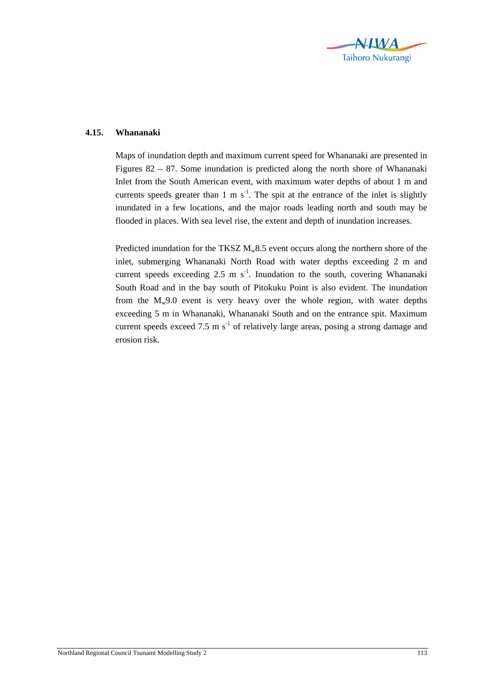

## **4.15. Whananaki**

Maps of inundation depth and maximum current speed for Whananaki are presented in Figures 82 – 87. Some inundation is predicted along the north shore of Whananaki Inlet from the South American event, with maximum water depths of about 1 m and currents speeds greater than 1 m  $s^{-1}$ . The spit at the entrance of the inlet is slightly inundated in a few locations, and the major roads leading north and south may be flooded in places. With sea level rise, the extent and depth of inundation increases.

Predicted inundation for the TKSZ  $M_w 8.5$  event occurs along the northern shore of the inlet, submerging Whananaki North Road with water depths exceeding 2 m and current speeds exceeding  $2.5 \text{ m s}^{-1}$ . Inundation to the south, covering Whananaki South Road and in the bay south of Pitokuku Point is also evident. The inundation from the  $M_w9.0$  event is very heavy over the whole region, with water depths exceeding 5 m in Whananaki, Whananaki South and on the entrance spit. Maximum current speeds exceed 7.5 m  $s^{-1}$  of relatively large areas, posing a strong damage and erosion risk.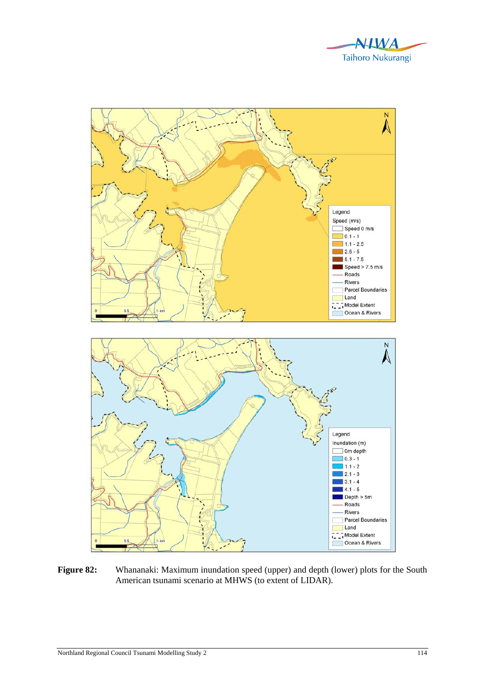



Figure 82: Whananaki: Maximum inundation speed (upper) and depth (lower) plots for the South American tsunami scenario at MHWS (to extent of LIDAR).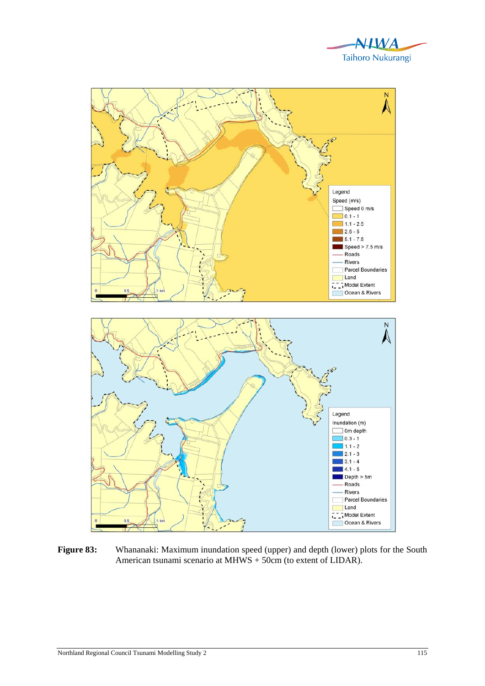



Figure 83: Whananaki: Maximum inundation speed (upper) and depth (lower) plots for the South American tsunami scenario at MHWS + 50cm (to extent of LIDAR).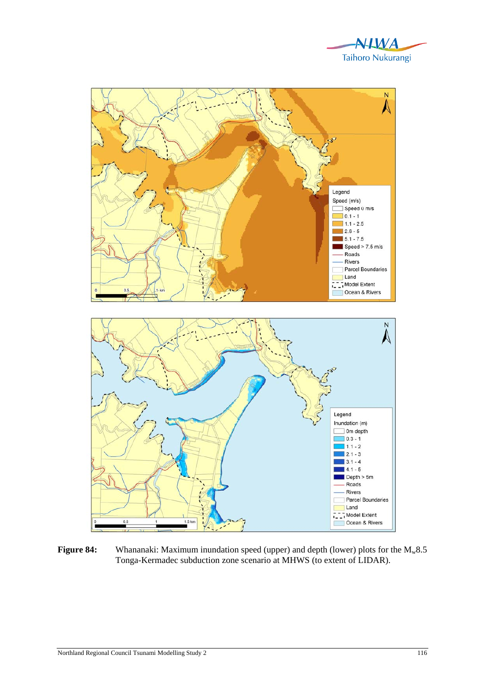



**Figure 84:** Whananaki: Maximum inundation speed (upper) and depth (lower) plots for the M<sub>w</sub>8.5 Tonga-Kermadec subduction zone scenario at MHWS (to extent of LIDAR).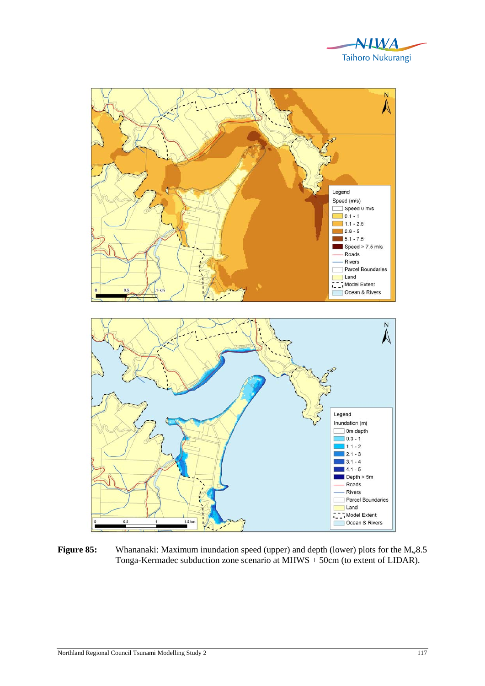



**Figure 85:** Whananaki: Maximum inundation speed (upper) and depth (lower) plots for the M<sub>w</sub>8.5 Tonga-Kermadec subduction zone scenario at MHWS + 50cm (to extent of LIDAR).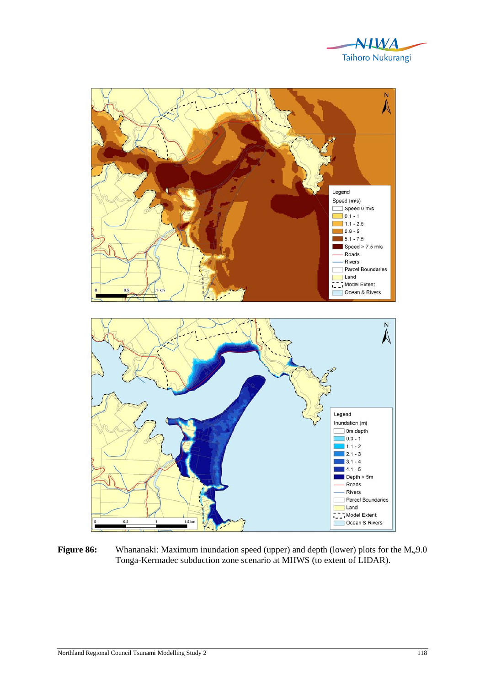



**Figure 86:** Whananaki: Maximum inundation speed (upper) and depth (lower) plots for the M<sub>w</sub>9.0 Tonga-Kermadec subduction zone scenario at MHWS (to extent of LIDAR).